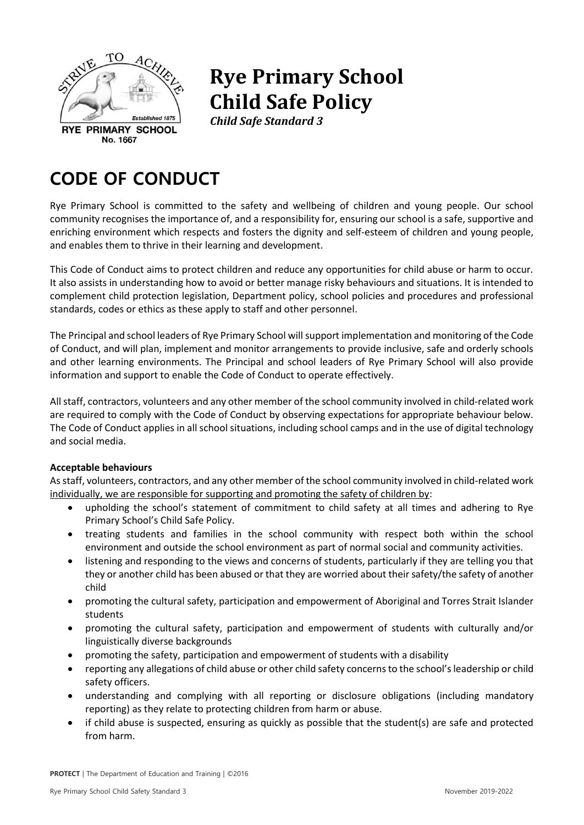

# **Rye Primary School Child Safe Policy**

*Child Safe Standard 3*

## **CODE OF CONDUCT**

Rye Primary School is committed to the safety and wellbeing of children and young people. Our school community recognises the importance of, and a responsibility for, ensuring our school is a safe, supportive and enriching environment which respects and fosters the dignity and self-esteem of children and young people, and enables them to thrive in their learning and development.

This Code of Conduct aims to protect children and reduce any opportunities for child abuse or harm to occur. It also assists in understanding how to avoid or better manage risky behaviours and situations. It is intended to complement child protection legislation, Department policy, school policies and procedures and professional standards, codes or ethics as these apply to staff and other personnel.

The Principal and school leaders of Rye Primary School will support implementation and monitoring of the Code of Conduct, and will plan, implement and monitor arrangements to provide inclusive, safe and orderly schools and other learning environments. The Principal and school leaders of Rye Primary School will also provide information and support to enable the Code of Conduct to operate effectively.

All staff, contractors, volunteers and any other member of the school community involved in child-related work are required to comply with the Code of Conduct by observing expectations for appropriate behaviour below. The Code of Conduct applies in all school situations, including school camps and in the use of digital technology and social media.

### **Acceptable behaviours**

As staff, volunteers, contractors, and any other member of the school community involved in child-related work individually, we are responsible for supporting and promoting the safety of children by:

- upholding the school's statement of commitment to child safety at all times and adhering to Rye Primary School's Child Safe Policy.
- treating students and families in the school community with respect both within the school environment and outside the school environment as part of normal social and community activities.
- listening and responding to the views and concerns of students, particularly if they are telling you that they or another child has been abused or that they are worried about their safety/the safety of another child
- promoting the cultural safety, participation and empowerment of Aboriginal and Torres Strait Islander students
- promoting the cultural safety, participation and empowerment of students with culturally and/or linguistically diverse backgrounds
- promoting the safety, participation and empowerment of students with a disability
- reporting any allegations of child abuse or other child safety concerns to the school's leadership or child safety officers.
- understanding and complying with all reporting or disclosure obligations (including mandatory reporting) as they relate to protecting children from harm or abuse.
- if child abuse is suspected, ensuring as quickly as possible that the student(s) are safe and protected from harm.